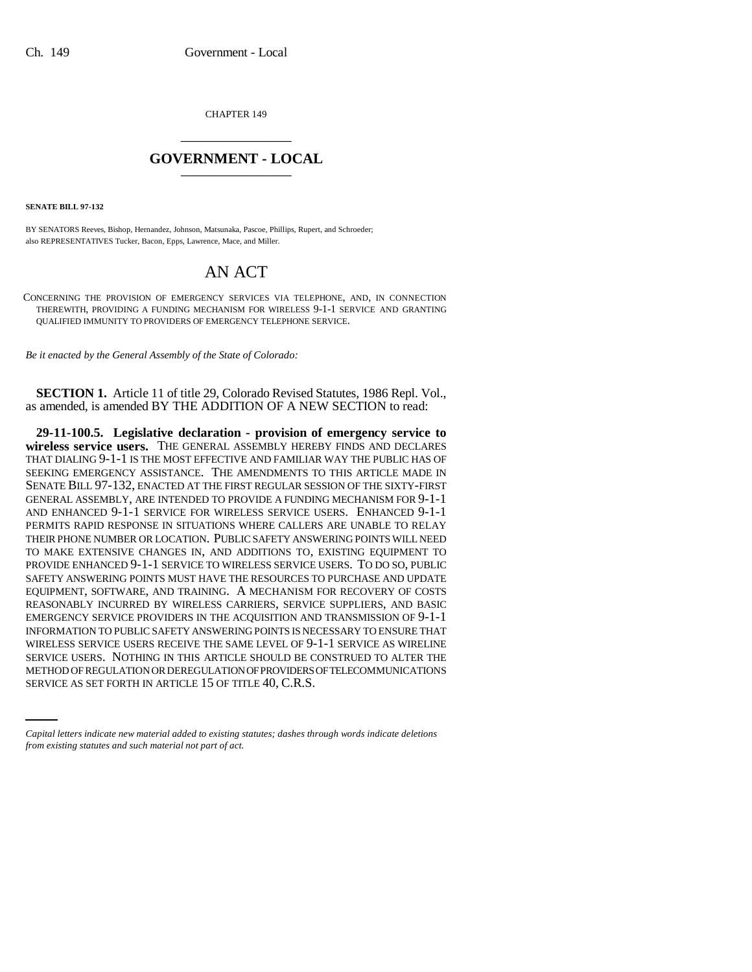CHAPTER 149 \_\_\_\_\_\_\_\_\_\_\_\_\_\_\_

## **GOVERNMENT - LOCAL** \_\_\_\_\_\_\_\_\_\_\_\_\_\_\_

**SENATE BILL 97-132**

BY SENATORS Reeves, Bishop, Hernandez, Johnson, Matsunaka, Pascoe, Phillips, Rupert, and Schroeder; also REPRESENTATIVES Tucker, Bacon, Epps, Lawrence, Mace, and Miller.

## AN ACT

CONCERNING THE PROVISION OF EMERGENCY SERVICES VIA TELEPHONE, AND, IN CONNECTION THEREWITH, PROVIDING A FUNDING MECHANISM FOR WIRELESS 9-1-1 SERVICE AND GRANTING QUALIFIED IMMUNITY TO PROVIDERS OF EMERGENCY TELEPHONE SERVICE.

*Be it enacted by the General Assembly of the State of Colorado:*

**SECTION 1.** Article 11 of title 29, Colorado Revised Statutes, 1986 Repl. Vol., as amended, is amended BY THE ADDITION OF A NEW SECTION to read:

SERVICE USERS. NOTHING IN THIS ARTICLE SHOULD BE CONSTRUED TO ALTER THE **29-11-100.5. Legislative declaration - provision of emergency service to wireless service users.** THE GENERAL ASSEMBLY HEREBY FINDS AND DECLARES THAT DIALING 9-1-1 IS THE MOST EFFECTIVE AND FAMILIAR WAY THE PUBLIC HAS OF SEEKING EMERGENCY ASSISTANCE. THE AMENDMENTS TO THIS ARTICLE MADE IN SENATE BILL 97-132, ENACTED AT THE FIRST REGULAR SESSION OF THE SIXTY-FIRST GENERAL ASSEMBLY, ARE INTENDED TO PROVIDE A FUNDING MECHANISM FOR 9-1-1 AND ENHANCED 9-1-1 SERVICE FOR WIRELESS SERVICE USERS. ENHANCED 9-1-1 PERMITS RAPID RESPONSE IN SITUATIONS WHERE CALLERS ARE UNABLE TO RELAY THEIR PHONE NUMBER OR LOCATION. PUBLIC SAFETY ANSWERING POINTS WILL NEED TO MAKE EXTENSIVE CHANGES IN, AND ADDITIONS TO, EXISTING EQUIPMENT TO PROVIDE ENHANCED 9-1-1 SERVICE TO WIRELESS SERVICE USERS. TO DO SO, PUBLIC SAFETY ANSWERING POINTS MUST HAVE THE RESOURCES TO PURCHASE AND UPDATE EQUIPMENT, SOFTWARE, AND TRAINING. A MECHANISM FOR RECOVERY OF COSTS REASONABLY INCURRED BY WIRELESS CARRIERS, SERVICE SUPPLIERS, AND BASIC EMERGENCY SERVICE PROVIDERS IN THE ACQUISITION AND TRANSMISSION OF 9-1-1 INFORMATION TO PUBLIC SAFETY ANSWERING POINTS IS NECESSARY TO ENSURE THAT WIRELESS SERVICE USERS RECEIVE THE SAME LEVEL OF 9-1-1 SERVICE AS WIRELINE METHOD OF REGULATION OR DEREGULATION OF PROVIDERS OF TELECOMMUNICATIONS SERVICE AS SET FORTH IN ARTICLE 15 OF TITLE 40, C.R.S.

*Capital letters indicate new material added to existing statutes; dashes through words indicate deletions from existing statutes and such material not part of act.*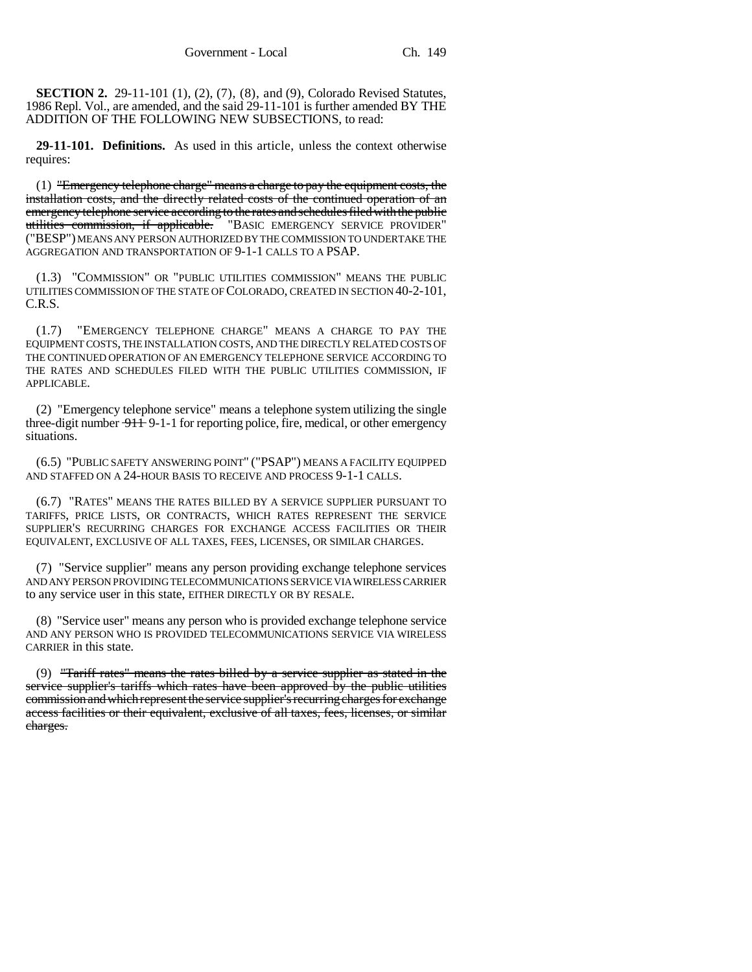**SECTION 2.** 29-11-101 (1), (2), (7), (8), and (9), Colorado Revised Statutes, 1986 Repl. Vol., are amended, and the said 29-11-101 is further amended BY THE ADDITION OF THE FOLLOWING NEW SUBSECTIONS, to read:

**29-11-101. Definitions.** As used in this article, unless the context otherwise requires:

(1) "Emergency telephone charge" means a charge to pay the equipment costs, the installation costs, and the directly related costs of the continued operation of an emergency telephone service according to the rates and schedules filed with the public utilities commission, if applicable. "BASIC EMERGENCY SERVICE PROVIDER" ("BESP") MEANS ANY PERSON AUTHORIZED BY THE COMMISSION TO UNDERTAKE THE AGGREGATION AND TRANSPORTATION OF 9-1-1 CALLS TO A PSAP.

(1.3) "COMMISSION" OR "PUBLIC UTILITIES COMMISSION" MEANS THE PUBLIC UTILITIES COMMISSION OF THE STATE OF COLORADO, CREATED IN SECTION 40-2-101, C.R.S.

(1.7) "EMERGENCY TELEPHONE CHARGE" MEANS A CHARGE TO PAY THE EQUIPMENT COSTS, THE INSTALLATION COSTS, AND THE DIRECTLY RELATED COSTS OF THE CONTINUED OPERATION OF AN EMERGENCY TELEPHONE SERVICE ACCORDING TO THE RATES AND SCHEDULES FILED WITH THE PUBLIC UTILITIES COMMISSION, IF APPLICABLE.

(2) "Emergency telephone service" means a telephone system utilizing the single three-digit number  $\frac{911}{1}$  9-1-1 for reporting police, fire, medical, or other emergency situations.

(6.5) "PUBLIC SAFETY ANSWERING POINT" ("PSAP") MEANS A FACILITY EQUIPPED AND STAFFED ON A 24-HOUR BASIS TO RECEIVE AND PROCESS 9-1-1 CALLS.

(6.7) "RATES" MEANS THE RATES BILLED BY A SERVICE SUPPLIER PURSUANT TO TARIFFS, PRICE LISTS, OR CONTRACTS, WHICH RATES REPRESENT THE SERVICE SUPPLIER'S RECURRING CHARGES FOR EXCHANGE ACCESS FACILITIES OR THEIR EQUIVALENT, EXCLUSIVE OF ALL TAXES, FEES, LICENSES, OR SIMILAR CHARGES.

(7) "Service supplier" means any person providing exchange telephone services AND ANY PERSON PROVIDING TELECOMMUNICATIONS SERVICE VIA WIRELESS CARRIER to any service user in this state, EITHER DIRECTLY OR BY RESALE.

(8) "Service user" means any person who is provided exchange telephone service AND ANY PERSON WHO IS PROVIDED TELECOMMUNICATIONS SERVICE VIA WIRELESS CARRIER in this state.

(9) "Tariff rates" means the rates billed by a service supplier as stated in the service supplier's tariffs which rates have been approved by the public utilities commission and which represent the service supplier's recurring charges for exchange access facilities or their equivalent, exclusive of all taxes, fees, licenses, or similar charges.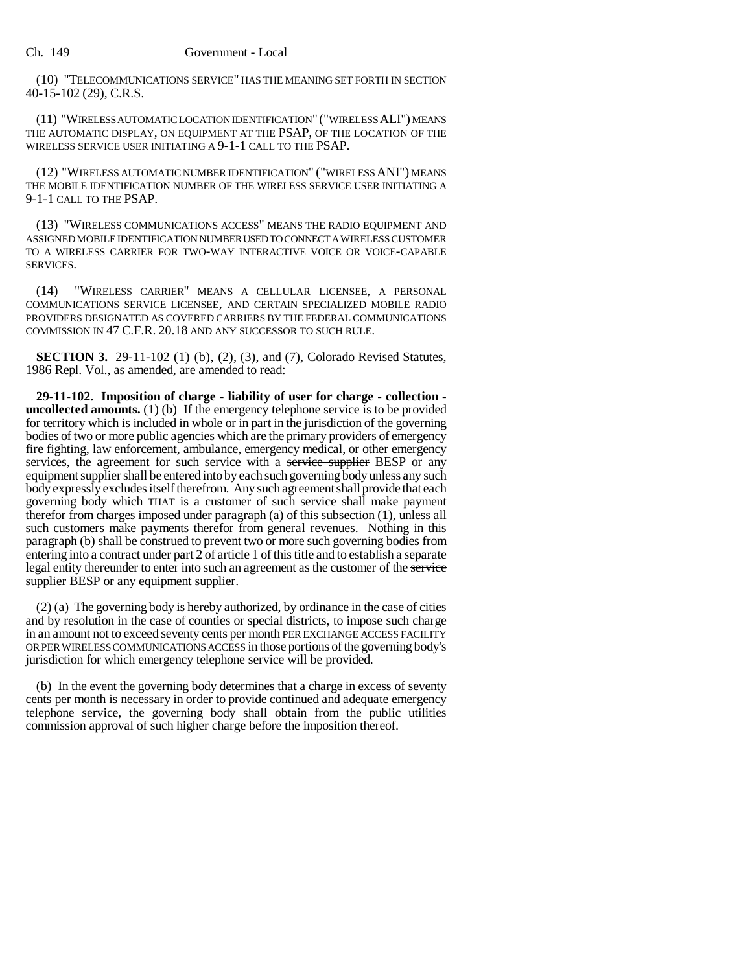(10) "TELECOMMUNICATIONS SERVICE" HAS THE MEANING SET FORTH IN SECTION 40-15-102 (29), C.R.S.

(11) "WIRELESS AUTOMATIC LOCATION IDENTIFICATION" ("WIRELESS ALI") MEANS THE AUTOMATIC DISPLAY, ON EQUIPMENT AT THE PSAP, OF THE LOCATION OF THE WIRELESS SERVICE USER INITIATING A 9-1-1 CALL TO THE PSAP.

(12) "WIRELESS AUTOMATIC NUMBER IDENTIFICATION" ("WIRELESS ANI") MEANS THE MOBILE IDENTIFICATION NUMBER OF THE WIRELESS SERVICE USER INITIATING A 9-1-1 CALL TO THE PSAP.

(13) "WIRELESS COMMUNICATIONS ACCESS" MEANS THE RADIO EQUIPMENT AND ASSIGNED MOBILE IDENTIFICATION NUMBER USED TO CONNECT A WIRELESS CUSTOMER TO A WIRELESS CARRIER FOR TWO-WAY INTERACTIVE VOICE OR VOICE-CAPABLE SERVICES.

(14) "WIRELESS CARRIER" MEANS A CELLULAR LICENSEE, A PERSONAL COMMUNICATIONS SERVICE LICENSEE, AND CERTAIN SPECIALIZED MOBILE RADIO PROVIDERS DESIGNATED AS COVERED CARRIERS BY THE FEDERAL COMMUNICATIONS COMMISSION IN 47 C.F.R. 20.18 AND ANY SUCCESSOR TO SUCH RULE.

**SECTION 3.** 29-11-102 (1) (b), (2), (3), and (7), Colorado Revised Statutes, 1986 Repl. Vol., as amended, are amended to read:

**29-11-102. Imposition of charge - liability of user for charge - collection uncollected amounts.** (1) (b) If the emergency telephone service is to be provided for territory which is included in whole or in part in the jurisdiction of the governing bodies of two or more public agencies which are the primary providers of emergency fire fighting, law enforcement, ambulance, emergency medical, or other emergency services, the agreement for such service with a service supplier BESP or any equipment supplier shall be entered into by each such governing body unless any such body expressly excludes itself therefrom. Any such agreement shall provide that each governing body which THAT is a customer of such service shall make payment therefor from charges imposed under paragraph (a) of this subsection (1), unless all such customers make payments therefor from general revenues. Nothing in this paragraph (b) shall be construed to prevent two or more such governing bodies from entering into a contract under part 2 of article 1 of this title and to establish a separate legal entity thereunder to enter into such an agreement as the customer of the service supplier BESP or any equipment supplier.

(2) (a) The governing body is hereby authorized, by ordinance in the case of cities and by resolution in the case of counties or special districts, to impose such charge in an amount not to exceed seventy cents per month PER EXCHANGE ACCESS FACILITY OR PER WIRELESS COMMUNICATIONS ACCESS in those portions of the governing body's jurisdiction for which emergency telephone service will be provided.

(b) In the event the governing body determines that a charge in excess of seventy cents per month is necessary in order to provide continued and adequate emergency telephone service, the governing body shall obtain from the public utilities commission approval of such higher charge before the imposition thereof.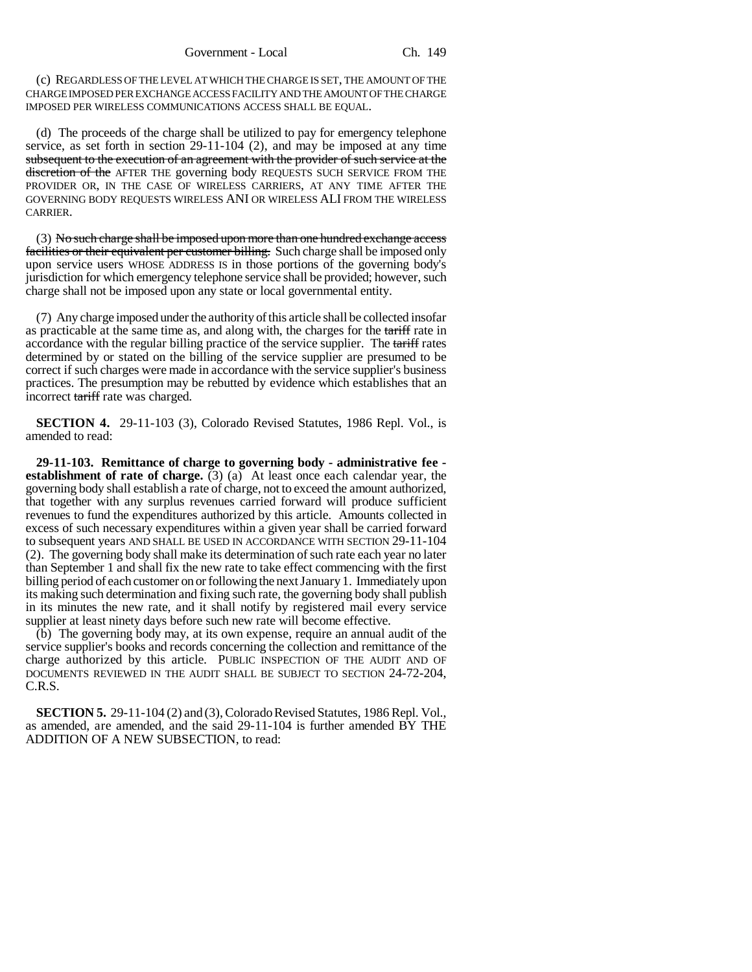(c) REGARDLESS OF THE LEVEL AT WHICH THE CHARGE IS SET, THE AMOUNT OF THE CHARGE IMPOSED PER EXCHANGE ACCESS FACILITY AND THE AMOUNT OF THE CHARGE IMPOSED PER WIRELESS COMMUNICATIONS ACCESS SHALL BE EQUAL.

(d) The proceeds of the charge shall be utilized to pay for emergency telephone service, as set forth in section 29-11-104 (2), and may be imposed at any time subsequent to the execution of an agreement with the provider of such service at the discretion of the AFTER THE governing body REQUESTS SUCH SERVICE FROM THE PROVIDER OR, IN THE CASE OF WIRELESS CARRIERS, AT ANY TIME AFTER THE GOVERNING BODY REQUESTS WIRELESS ANI OR WIRELESS ALI FROM THE WIRELESS CARRIER.

(3) No such charge shall be imposed upon more than one hundred exchange access facilities or their equivalent per customer billing. Such charge shall be imposed only upon service users WHOSE ADDRESS IS in those portions of the governing body's jurisdiction for which emergency telephone service shall be provided; however, such charge shall not be imposed upon any state or local governmental entity.

(7) Any charge imposed under the authority of this article shall be collected insofar as practicable at the same time as, and along with, the charges for the tariff rate in accordance with the regular billing practice of the service supplier. The tariff rates determined by or stated on the billing of the service supplier are presumed to be correct if such charges were made in accordance with the service supplier's business practices. The presumption may be rebutted by evidence which establishes that an incorrect tariff rate was charged.

**SECTION 4.** 29-11-103 (3), Colorado Revised Statutes, 1986 Repl. Vol., is amended to read:

**29-11-103. Remittance of charge to governing body - administrative fee establishment of rate of charge.** (3) (a) At least once each calendar year, the governing body shall establish a rate of charge, not to exceed the amount authorized, that together with any surplus revenues carried forward will produce sufficient revenues to fund the expenditures authorized by this article. Amounts collected in excess of such necessary expenditures within a given year shall be carried forward to subsequent years AND SHALL BE USED IN ACCORDANCE WITH SECTION 29-11-104 (2). The governing body shall make its determination of such rate each year no later than September 1 and shall fix the new rate to take effect commencing with the first billing period of each customer on or following the next January 1. Immediately upon its making such determination and fixing such rate, the governing body shall publish in its minutes the new rate, and it shall notify by registered mail every service supplier at least ninety days before such new rate will become effective.

(b) The governing body may, at its own expense, require an annual audit of the service supplier's books and records concerning the collection and remittance of the charge authorized by this article. PUBLIC INSPECTION OF THE AUDIT AND OF DOCUMENTS REVIEWED IN THE AUDIT SHALL BE SUBJECT TO SECTION 24-72-204, C.R.S.

**SECTION 5.** 29-11-104 (2) and (3), Colorado Revised Statutes, 1986 Repl. Vol., as amended, are amended, and the said 29-11-104 is further amended BY THE ADDITION OF A NEW SUBSECTION, to read: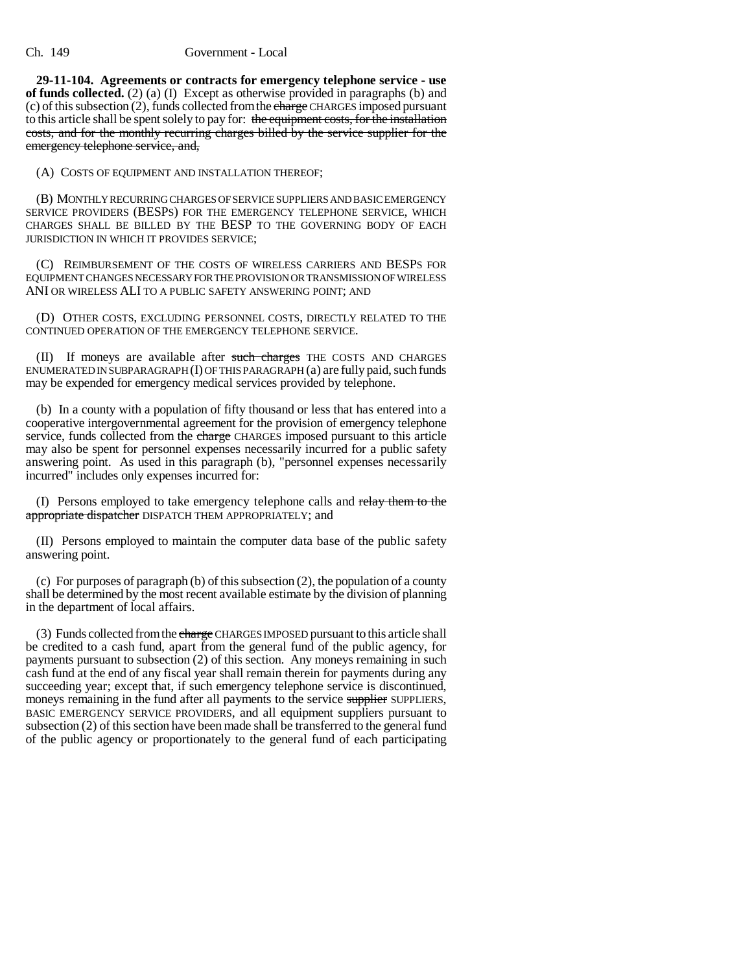## Ch. 149 Government - Local

**29-11-104. Agreements or contracts for emergency telephone service - use of funds collected.** (2) (a) (I) Except as otherwise provided in paragraphs (b) and (c) of this subsection  $(2)$ , funds collected from the charge CHARGES imposed pursuant to this article shall be spent solely to pay for: the equipment costs, for the installation costs, and for the monthly recurring charges billed by the service supplier for the emergency telephone service, and,

(A) COSTS OF EQUIPMENT AND INSTALLATION THEREOF;

(B) MONTHLY RECURRING CHARGES OF SERVICE SUPPLIERS AND BASIC EMERGENCY SERVICE PROVIDERS (BESPS) FOR THE EMERGENCY TELEPHONE SERVICE, WHICH CHARGES SHALL BE BILLED BY THE BESP TO THE GOVERNING BODY OF EACH JURISDICTION IN WHICH IT PROVIDES SERVICE;

(C) REIMBURSEMENT OF THE COSTS OF WIRELESS CARRIERS AND BESPS FOR EQUIPMENT CHANGES NECESSARY FOR THE PROVISION OR TRANSMISSION OF WIRELESS ANI OR WIRELESS ALI TO A PUBLIC SAFETY ANSWERING POINT; AND

(D) OTHER COSTS, EXCLUDING PERSONNEL COSTS, DIRECTLY RELATED TO THE CONTINUED OPERATION OF THE EMERGENCY TELEPHONE SERVICE.

(II) If moneys are available after such charges THE COSTS AND CHARGES ENUMERATED IN SUBPARAGRAPH (I) OF THIS PARAGRAPH (a) are fully paid, such funds may be expended for emergency medical services provided by telephone.

(b) In a county with a population of fifty thousand or less that has entered into a cooperative intergovernmental agreement for the provision of emergency telephone service, funds collected from the charge CHARGES imposed pursuant to this article may also be spent for personnel expenses necessarily incurred for a public safety answering point. As used in this paragraph (b), "personnel expenses necessarily incurred" includes only expenses incurred for:

(I) Persons employed to take emergency telephone calls and relay them to the appropriate dispatcher DISPATCH THEM APPROPRIATELY; and

(II) Persons employed to maintain the computer data base of the public safety answering point.

(c) For purposes of paragraph (b) of this subsection (2), the population of a county shall be determined by the most recent available estimate by the division of planning in the department of local affairs.

(3) Funds collected from the charge CHARGES IMPOSED pursuant to this article shall be credited to a cash fund, apart from the general fund of the public agency, for payments pursuant to subsection (2) of this section. Any moneys remaining in such cash fund at the end of any fiscal year shall remain therein for payments during any succeeding year; except that, if such emergency telephone service is discontinued, moneys remaining in the fund after all payments to the service supplier SUPPLIERS, BASIC EMERGENCY SERVICE PROVIDERS, and all equipment suppliers pursuant to subsection (2) of this section have been made shall be transferred to the general fund of the public agency or proportionately to the general fund of each participating